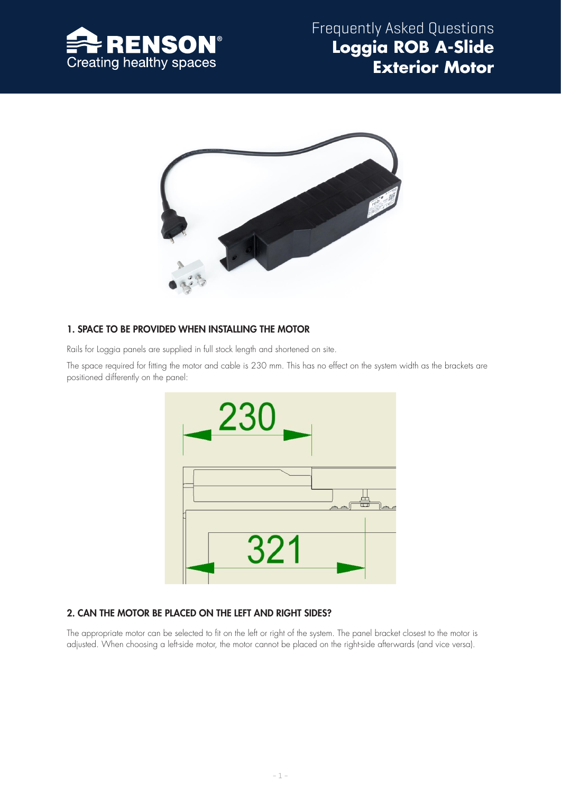



# 1. SPACE TO BE PROVIDED WHEN INSTALLING THE MOTOR

Rails for Loggia panels are supplied in full stock length and shortened on site.

The space required for fitting the motor and cable is 230 mm. This has no effect on the system width as the brackets are positioned differently on the panel:



## 2. CAN THE MOTOR BE PLACED ON THE LEFT AND RIGHT SIDES?

The appropriate motor can be selected to fit on the left or right of the system. The panel bracket closest to the motor is adjusted. When choosing a left-side motor, the motor cannot be placed on the right-side afterwards (and vice versa).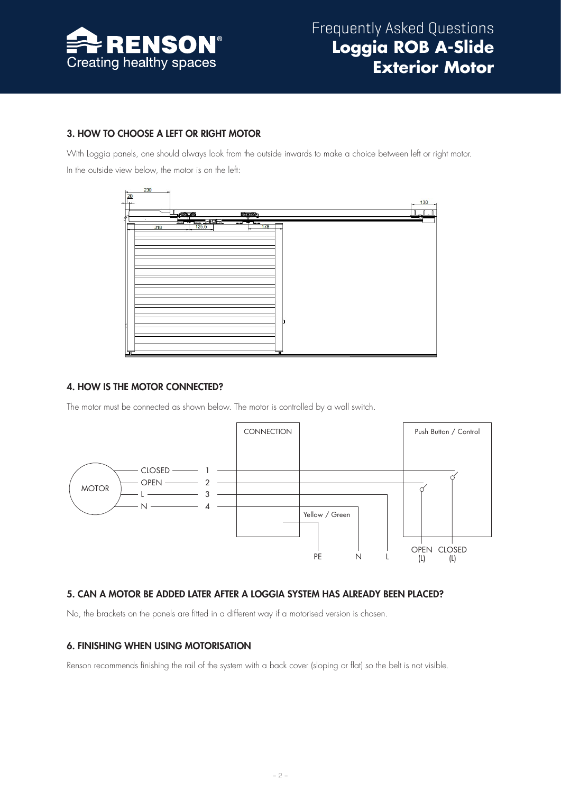

# 3. HOW TO CHOOSE A LEFT OR RIGHT MOTOR

With Loggia panels, one should always look from the outside inwards to make a choice between left or right motor. In the outside view below, the motor is on the left:



## 4. HOW IS THE MOTOR CONNECTED?

The motor must be connected as shown below. The motor is controlled by a wall switch.



## 5. CAN A MOTOR BE ADDED LATER AFTER A LOGGIA SYSTEM HAS ALREADY BEEN PLACED?

No, the brackets on the panels are fitted in a different way if a motorised version is chosen.

## 6. FINISHING WHEN USING MOTORISATION

Renson recommends finishing the rail of the system with a back cover (sloping or flat) so the belt is not visible.